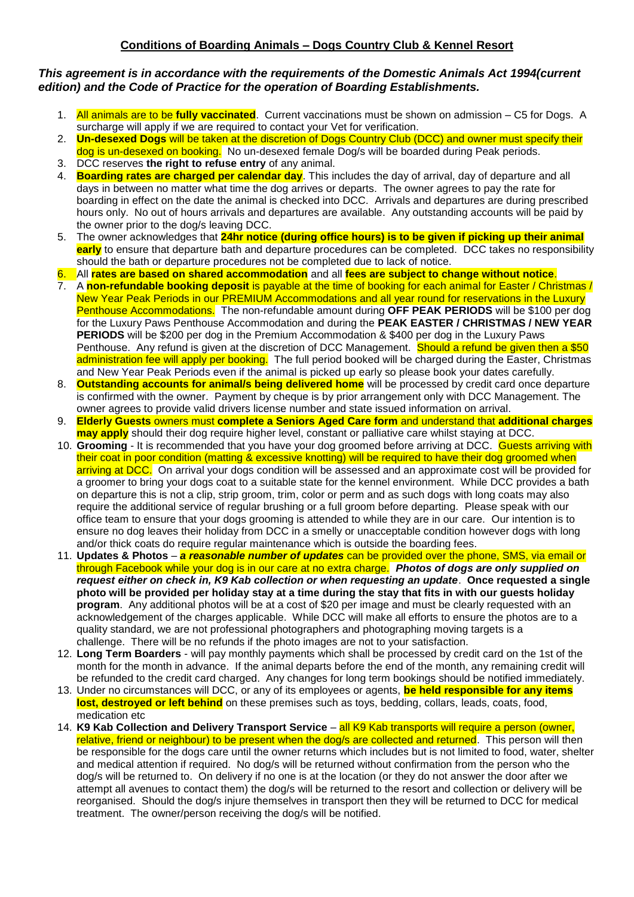## *This agreement is in accordance with the requirements of the Domestic Animals Act 1994(current edition) and the Code of Practice for the operation of Boarding Establishments.*

- 1. All animals are to be **fully vaccinated**. Current vaccinations must be shown on admission C5 for Dogs. A surcharge will apply if we are required to contact your Vet for verification.
- 2. **Un-desexed Dogs** will be taken at the discretion of Dogs Country Club (DCC) and owner must specify their
- dog is un-desexed on booking. No un-desexed female Dog/s will be boarded during Peak periods.
- 3. DCC reserves **the right to refuse entry** of any animal.
- 4. **Boarding rates are charged per calendar day**. This includes the day of arrival, day of departure and all days in between no matter what time the dog arrives or departs. The owner agrees to pay the rate for boarding in effect on the date the animal is checked into DCC. Arrivals and departures are during prescribed hours only. No out of hours arrivals and departures are available. Any outstanding accounts will be paid by the owner prior to the dog/s leaving DCC.
- 5. The owner acknowledges that **24hr notice (during office hours) is to be given if picking up their animal early** to ensure that departure bath and departure procedures can be completed. DCC takes no responsibility should the bath or departure procedures not be completed due to lack of notice.
- 6. All **rates are based on shared accommodation** and all **fees are subject to change without notice**.
- 7. A **non-refundable booking deposit** is payable at the time of booking for each animal for Easter / Christmas / New Year Peak Periods in our PREMIUM Accommodations and all year round for reservations in the Luxury Penthouse Accommodations. The non-refundable amount during **OFF PEAK PERIODS** will be \$100 per dog for the Luxury Paws Penthouse Accommodation and during the **PEAK EASTER / CHRISTMAS / NEW YEAR PERIODS** will be \$200 per dog in the Premium Accommodation & \$400 per dog in the Luxury Paws Penthouse. Any refund is given at the discretion of DCC Management. Should a refund be given then a \$50 administration fee will apply per booking. The full period booked will be charged during the Easter, Christmas and New Year Peak Periods even if the animal is picked up early so please book your dates carefully.
- 8. **Outstanding accounts for animal/s being delivered home** will be processed by credit card once departure is confirmed with the owner. Payment by cheque is by prior arrangement only with DCC Management. The owner agrees to provide valid drivers license number and state issued information on arrival.
- 9. **Elderly Guests** owners must **complete a Seniors Aged Care form** and understand that **additional charges may apply** should their dog require higher level, constant or palliative care whilst staying at DCC.
- 10. **Grooming** It is recommended that you have your dog groomed before arriving at DCC. Guests arriving with their coat in poor condition (matting & excessive knotting) will be required to have their dog groomed when arriving at DCC. On arrival your dogs condition will be assessed and an approximate cost will be provided for a groomer to bring your dogs coat to a suitable state for the kennel environment. While DCC provides a bath on departure this is not a clip, strip groom, trim, color or perm and as such dogs with long coats may also require the additional service of regular brushing or a full groom before departing. Please speak with our office team to ensure that your dogs grooming is attended to while they are in our care. Our intention is to ensure no dog leaves their holiday from DCC in a smelly or unacceptable condition however dogs with long and/or thick coats do require regular maintenance which is outside the boarding fees.
- 11. **Updates & Photos**  *a reasonable number of updates* can be provided over the phone, SMS, via email or through Facebook while your dog is in our care at no extra charge. *Photos of dogs are only supplied on request either on check in, K9 Kab collection or when requesting an update*. **Once requested a single photo will be provided per holiday stay at a time during the stay that fits in with our guests holiday program**. Any additional photos will be at a cost of \$20 per image and must be clearly requested with an acknowledgement of the charges applicable. While DCC will make all efforts to ensure the photos are to a quality standard, we are not professional photographers and photographing moving targets is a challenge. There will be no refunds if the photo images are not to your satisfaction.
- 12. **Long Term Boarders** will pay monthly payments which shall be processed by credit card on the 1st of the month for the month in advance. If the animal departs before the end of the month, any remaining credit will be refunded to the credit card charged. Any changes for long term bookings should be notified immediately.
- 13. Under no circumstances will DCC, or any of its employees or agents, **be held responsible for any items lost, destroyed or left behind** on these premises such as toys, bedding, collars, leads, coats, food, medication etc
- 14. **K9 Kab Collection and Delivery Transport Service** all K9 Kab transports will require a person (owner, relative, friend or neighbour) to be present when the dog/s are collected and returned. This person will then be responsible for the dogs care until the owner returns which includes but is not limited to food, water, shelter and medical attention if required. No dog/s will be returned without confirmation from the person who the dog/s will be returned to. On delivery if no one is at the location (or they do not answer the door after we attempt all avenues to contact them) the dog/s will be returned to the resort and collection or delivery will be reorganised. Should the dog/s injure themselves in transport then they will be returned to DCC for medical treatment. The owner/person receiving the dog/s will be notified.